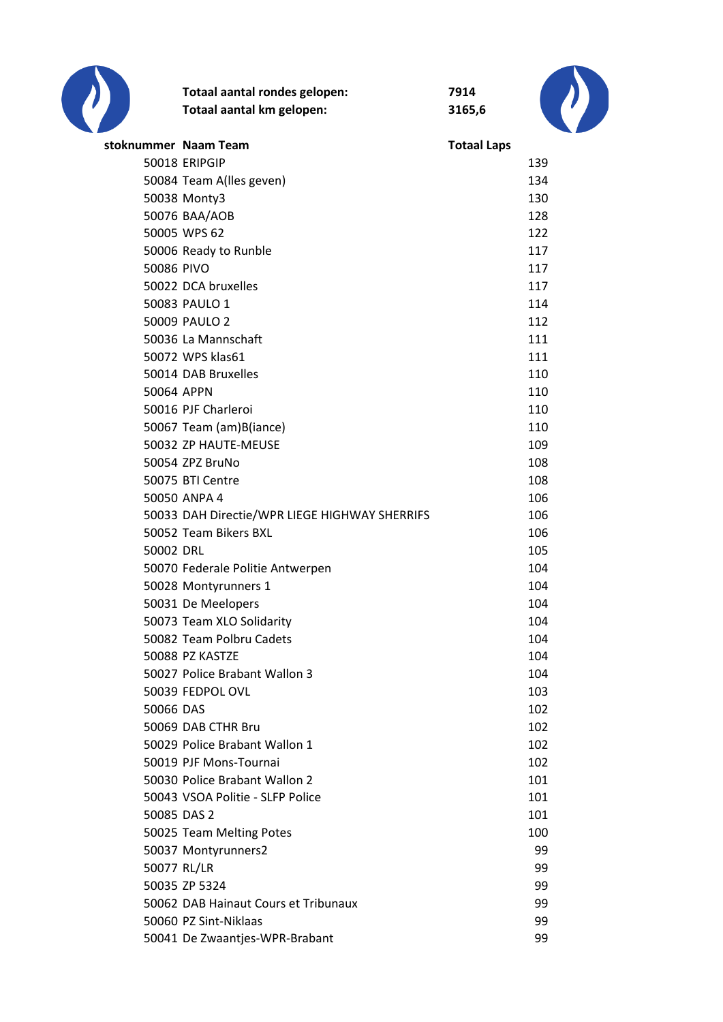

|                      | Totaal aantal rondes gelopen:<br>Totaal aantal km gelopen: | 7914<br>3165,6     |     |
|----------------------|------------------------------------------------------------|--------------------|-----|
| stoknummer Naam Team |                                                            | <b>Totaal Laps</b> |     |
|                      | 50018 ERIPGIP                                              |                    | 139 |
|                      | 50084 Team A(lles geven)                                   |                    | 134 |
|                      | 50038 Monty3                                               |                    | 130 |
|                      | 50076 BAA/AOB                                              |                    | 128 |
|                      | 50005 WPS 62                                               |                    | 122 |
|                      | 50006 Ready to Runble                                      |                    | 117 |
| 50086 PIVO           |                                                            |                    | 117 |
|                      | 50022 DCA bruxelles                                        |                    | 117 |
|                      | 50083 PAULO 1                                              |                    | 114 |
|                      | 50009 PAULO 2                                              |                    | 112 |
|                      | 50036 La Mannschaft                                        |                    | 111 |
|                      | 50072 WPS klas61                                           |                    | 111 |
|                      | 50014 DAB Bruxelles                                        |                    | 110 |
| 50064 APPN           |                                                            |                    | 110 |
|                      | 50016 PJF Charleroi                                        |                    | 110 |
|                      | 50067 Team (am)B(iance)                                    |                    | 110 |
|                      | 50032 ZP HAUTE-MEUSE                                       |                    | 109 |
|                      | 50054 ZPZ BruNo                                            |                    | 108 |
|                      | 50075 BTI Centre                                           |                    | 108 |
|                      | 50050 ANPA 4                                               |                    | 106 |
|                      | 50033 DAH Directie/WPR LIEGE HIGHWAY SHERRIFS              |                    | 106 |
|                      | 50052 Team Bikers BXL                                      |                    | 106 |
| 50002 DRL            |                                                            |                    | 105 |
|                      | 50070 Federale Politie Antwerpen                           |                    | 104 |
|                      | 50028 Montyrunners 1                                       |                    | 104 |
|                      | 50031 De Meelopers                                         |                    | 104 |
|                      | 50073 Team XLO Solidarity                                  |                    | 104 |
|                      | 50082 Team Polbru Cadets                                   |                    | 104 |
|                      | 50088 PZ KASTZE                                            |                    | 104 |
|                      | 50027 Police Brabant Wallon 3                              |                    | 104 |
|                      | 50039 FEDPOL OVL                                           |                    | 103 |
| 50066 DAS            |                                                            |                    | 102 |
|                      | 50069 DAB CTHR Bru                                         |                    | 102 |
|                      | 50029 Police Brabant Wallon 1                              |                    | 102 |
|                      | 50019 PJF Mons-Tournai                                     |                    | 102 |
|                      | 50030 Police Brabant Wallon 2                              |                    | 101 |
|                      | 50043 VSOA Politie - SLFP Police                           |                    | 101 |
| 50085 DAS 2          |                                                            |                    | 101 |
|                      | 50025 Team Melting Potes                                   |                    | 100 |
|                      | 50037 Montyrunners2                                        |                    | 99  |
| 50077 RL/LR          |                                                            |                    | 99  |
|                      | 50035 ZP 5324                                              |                    | 99  |
|                      | 50062 DAB Hainaut Cours et Tribunaux                       |                    | 99  |
|                      | 50060 PZ Sint-Niklaas                                      |                    | 99  |
|                      | 50041 De Zwaantjes-WPR-Brabant                             |                    | 99  |